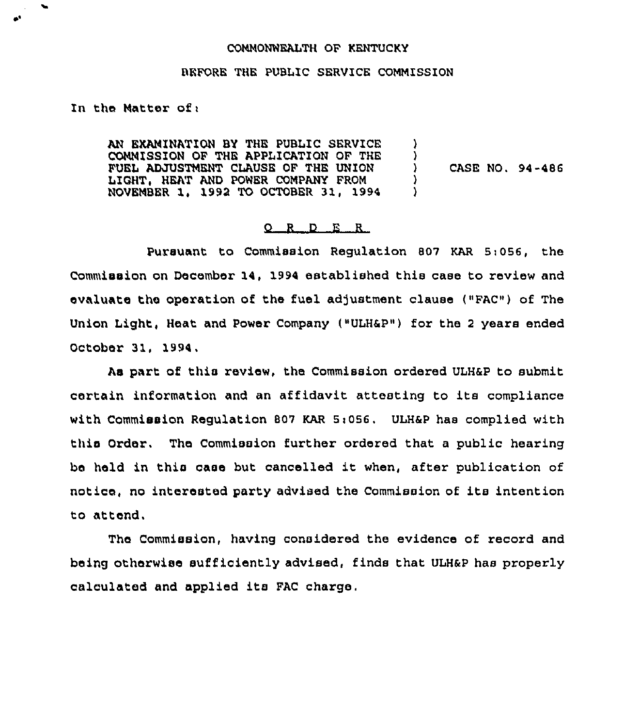## CONNONWEALTH OF KENTUCKY

## BEFORE THE PUBLIC SERVICE COMMISSION

## In the Natter of <sup>i</sup>

AN EXAMINATION BY THE PUBLIC SERVICE CONNISSION OF THE APPLICATION OF THE FUEL ADJUSTMENT CLAUSE OF THE UNION LIGHT, HEAT AND POWER CONPANY FROM NOVEMBER 1, 1992 TO OCTOBER 31, 1994 )  $\left\{ \begin{array}{c} 1 \\ 2 \end{array} \right\}$ ) CASE NO. 94-486 ) )

## 0 <sup>R</sup> <sup>D</sup> E <sup>R</sup>

Pursuant to Commission Regulation 807 KAR 5:056, the Commission on December 14, 1994 established this case to review and evaluate the operation of the fuel adjustment clause ("FAC") of The Union Light, Heat and Power Company ("ULH8P") for the <sup>2</sup> years ended October 31, 1994.

As part of this review, the Commission ordered ULH6P to submit certain information and an affidavit attesting to its compliance with Commission Regulation 807 KAR 5i056. ULH8P has complied with this Order. The Commission further ordered that a public hearing be held in this case but cancelled it when, after publication of notice, no interested party advised the Commission of its intention to attend,

The Commission, having considered the evidence of record and being otherwise sufficiently advised, finds that ULH&P has properly calculated and applied its FAC charge,